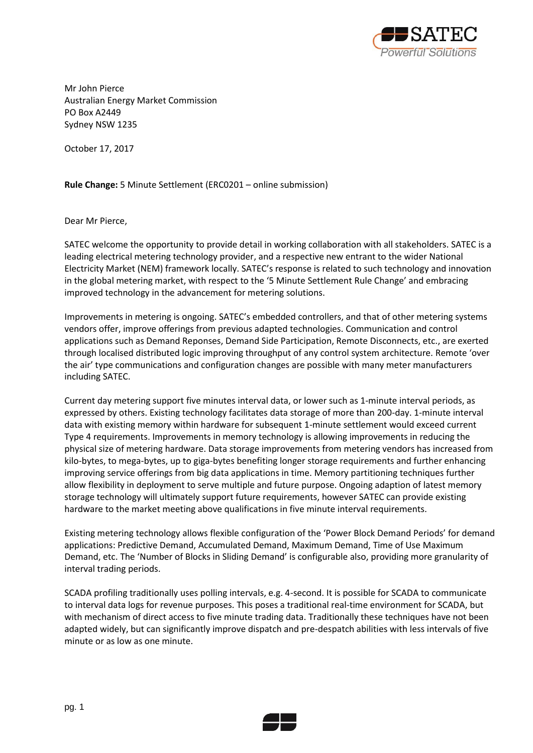

Mr John Pierce Australian Energy Market Commission PO Box A2449 Sydney NSW 1235

October 17, 2017

**Rule Change:** 5 Minute Settlement (ERC0201 – online submission)

Dear Mr Pierce,

SATEC welcome the opportunity to provide detail in working collaboration with all stakeholders. SATEC is a leading electrical metering technology provider, and a respective new entrant to the wider National Electricity Market (NEM) framework locally. SATEC's response is related to such technology and innovation in the global metering market, with respect to the '5 Minute Settlement Rule Change' and embracing improved technology in the advancement for metering solutions.

Improvements in metering is ongoing. SATEC's embedded controllers, and that of other metering systems vendors offer, improve offerings from previous adapted technologies. Communication and control applications such as Demand Reponses, Demand Side Participation, Remote Disconnects, etc., are exerted through localised distributed logic improving throughput of any control system architecture. Remote 'over the air' type communications and configuration changes are possible with many meter manufacturers including SATEC.

Current day metering support five minutes interval data, or lower such as 1-minute interval periods, as expressed by others. Existing technology facilitates data storage of more than 200-day. 1-minute interval data with existing memory within hardware for subsequent 1-minute settlement would exceed current Type 4 requirements. Improvements in memory technology is allowing improvements in reducing the physical size of metering hardware. Data storage improvements from metering vendors has increased from kilo-bytes, to mega-bytes, up to giga-bytes benefiting longer storage requirements and further enhancing improving service offerings from big data applications in time. Memory partitioning techniques further allow flexibility in deployment to serve multiple and future purpose. Ongoing adaption of latest memory storage technology will ultimately support future requirements, however SATEC can provide existing hardware to the market meeting above qualifications in five minute interval requirements.

Existing metering technology allows flexible configuration of the 'Power Block Demand Periods' for demand applications: Predictive Demand, Accumulated Demand, Maximum Demand, Time of Use Maximum Demand, etc. The 'Number of Blocks in Sliding Demand' is configurable also, providing more granularity of interval trading periods.

SCADA profiling traditionally uses polling intervals, e.g. 4-second. It is possible for SCADA to communicate to interval data logs for revenue purposes. This poses a traditional real-time environment for SCADA, but with mechanism of direct access to five minute trading data. Traditionally these techniques have not been adapted widely, but can significantly improve dispatch and pre-despatch abilities with less intervals of five minute or as low as one minute.